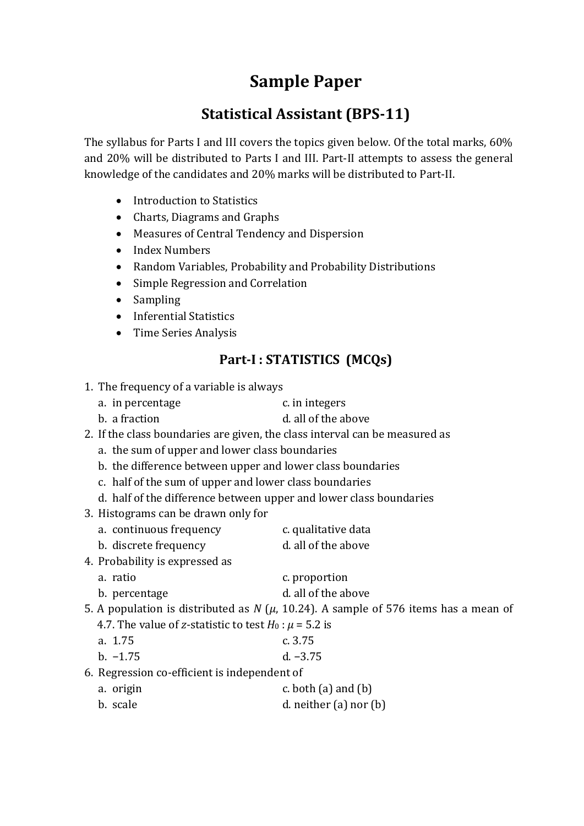# **Sample Paper**

# **Statistical Assistant (BPS-11)**

The syllabus for Parts I and III covers the topics given below. Of the total marks, 60% and 20% will be distributed to Parts I and III. Part-II attempts to assess the general knowledge of the candidates and 20% marks will be distributed to Part-II.

- Introduction to Statistics
- Charts, Diagrams and Graphs
- Measures of Central Tendency and Dispersion
- Index Numbers
- Random Variables, Probability and Probability Distributions
- Simple Regression and Correlation
- Sampling
- Inferential Statistics
- Time Series Analysis

## **Part-I : STATISTICS (MCQs)**

- 1. The frequency of a variable is always
	- a. in percentage c. in integers
	- b. a fraction b. a fraction
- 2. If the class boundaries are given, the class interval can be measured as
	- a. the sum of upper and lower class boundaries
	- b. the difference between upper and lower class boundaries
	- c. half of the sum of upper and lower class boundaries
	- d. half of the difference between upper and lower class boundaries
- 3. Histograms can be drawn only for
	- a. continuous frequency e. qualitative data
	- b. discrete frequency d. all of the above
- 4. Probability is expressed as
	- a. ratio c. proportion
	- b. percentage d. all of the above
- 5. A population is distributed as  $N$  ( $\mu$ , 10.24). A sample of 576 items has a mean of
	- 4.7. The value of *z*-statistic to test  $H_0$ :  $\mu$  = 5.2 is
	- a. 1.75 c. 3.75
	- b. −1.75 d. −3.75

6. Regression co-efficient is independent of

- a. origin c. both (a) and (b)
- b. scale d. neither (a) nor (b)